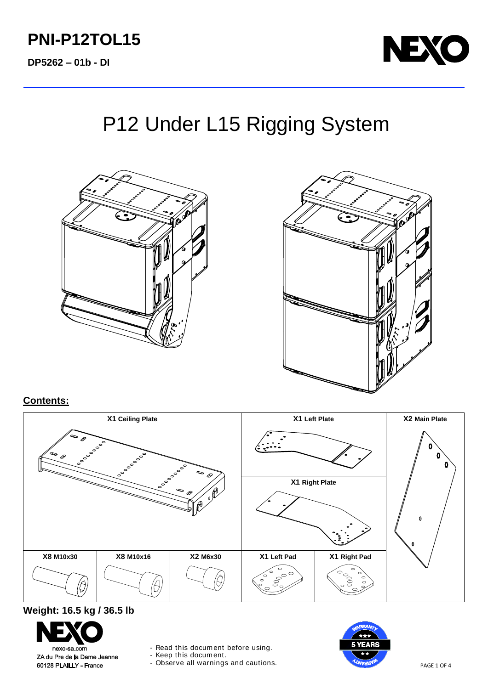# **PNI-P12TOL15**

**DP5262 – 01b - DI**



# P12 Under L15 Rigging System





### **Contents:**

| X1 Ceiling Plate                                                                                  |           |          | X1 Left Plate                                           |                                                        | X2 Main Plate |
|---------------------------------------------------------------------------------------------------|-----------|----------|---------------------------------------------------------|--------------------------------------------------------|---------------|
| P<br>P<br>$\int_{0}^{0}$<br>$\qquad \qquad \Leftrightarrow$<br>$\circ$<br>$\qquad \qquad \bullet$ |           |          |                                                         |                                                        | o<br>o<br>0   |
|                                                                                                   |           | $\sim$   | X1 Right Plate                                          |                                                        |               |
| C                                                                                                 |           |          |                                                         |                                                        |               |
|                                                                                                   |           |          |                                                         |                                                        | $\mathbf{0}$  |
|                                                                                                   |           |          |                                                         |                                                        |               |
| X8 M10x30                                                                                         | X8 M10x16 | X2 M6x30 | X1 Left Pad                                             | X1 Right Pad                                           |               |
| D.                                                                                                |           |          | 0<br>$\begin{matrix} 0 \\ 0 \\ 0 \end{matrix}$<br>00000 | $\circ$<br>$\frac{1}{2}000^{\circ}$<br>$\circ$ $\circ$ |               |

## **Weight: 16.5 kg / 36.5 lb**



- Read this document before using.

- Keep this document.

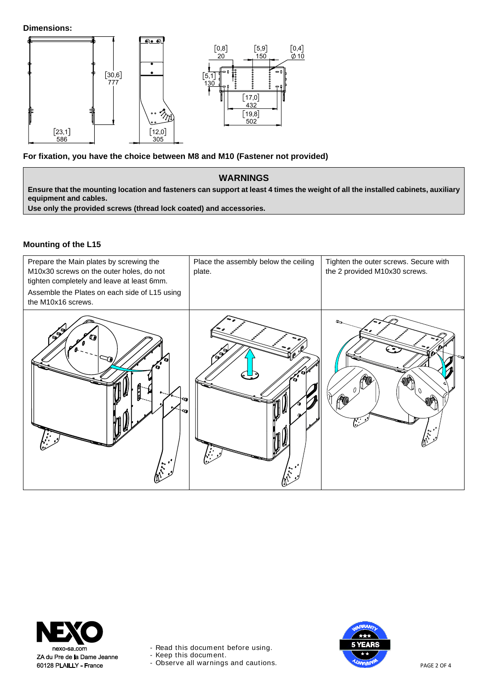**Dimensions:**



**For fixation, you have the choice between M8 and M10 (Fastener not provided)**

#### **WARNINGS**

**Ensure that the mounting location and fasteners can support at least 4 times the weight of all the installed cabinets, auxiliary equipment and cables.**

**Use only the provided screws (thread lock coated) and accessories.**

#### **Mounting of the L15**

| Prepare the Main plates by screwing the<br>M10x30 screws on the outer holes, do not<br>tighten completely and leave at least 6mm.<br>Assemble the Plates on each side of L15 using<br>the M10x16 screws. | Place the assembly below the ceiling<br>plate. | Tighten the outer screws. Secure with<br>the 2 provided M10x30 screws. |
|----------------------------------------------------------------------------------------------------------------------------------------------------------------------------------------------------------|------------------------------------------------|------------------------------------------------------------------------|
| $\mathscr{I}$<br>m<br>$\mathcal{L}^{(n)}$                                                                                                                                                                |                                                |                                                                        |



- Read this document before using.

- Keep this document.

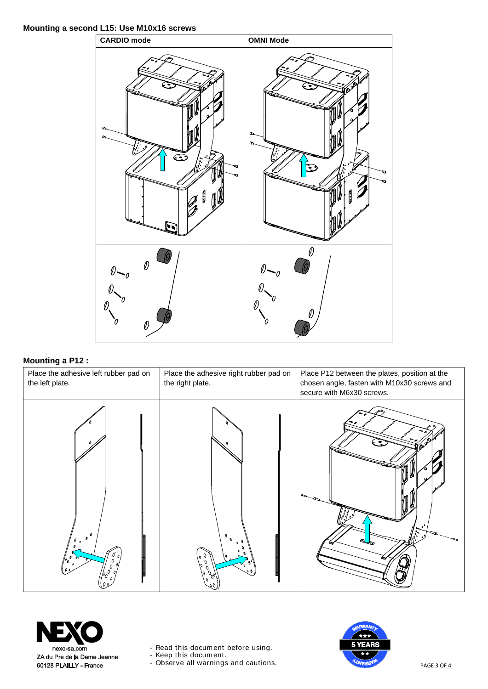#### **Mounting a second L15: Use M10x16 screws**



#### **Mounting a P12 :**





- Read this document before using.

- Keep this document.